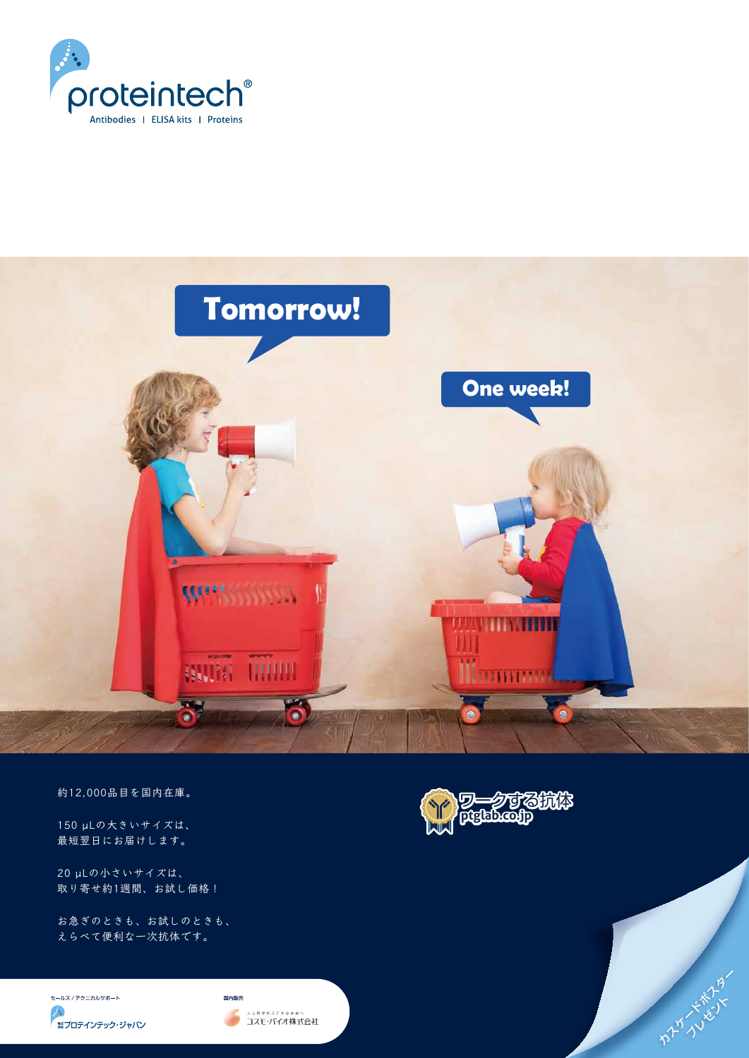

およびかんだろう

20 µLの小さいサイズは、 取り寄せ約1週間、お試し価格!

150 µLの大きいサイズは、 最短翌日にお届けします。

お急ぎのときも、お試しのときも、 えらべて便利な一次抗体です。

セールス / テクニカルサポート

**A** 無プロテインテック・ジャパン





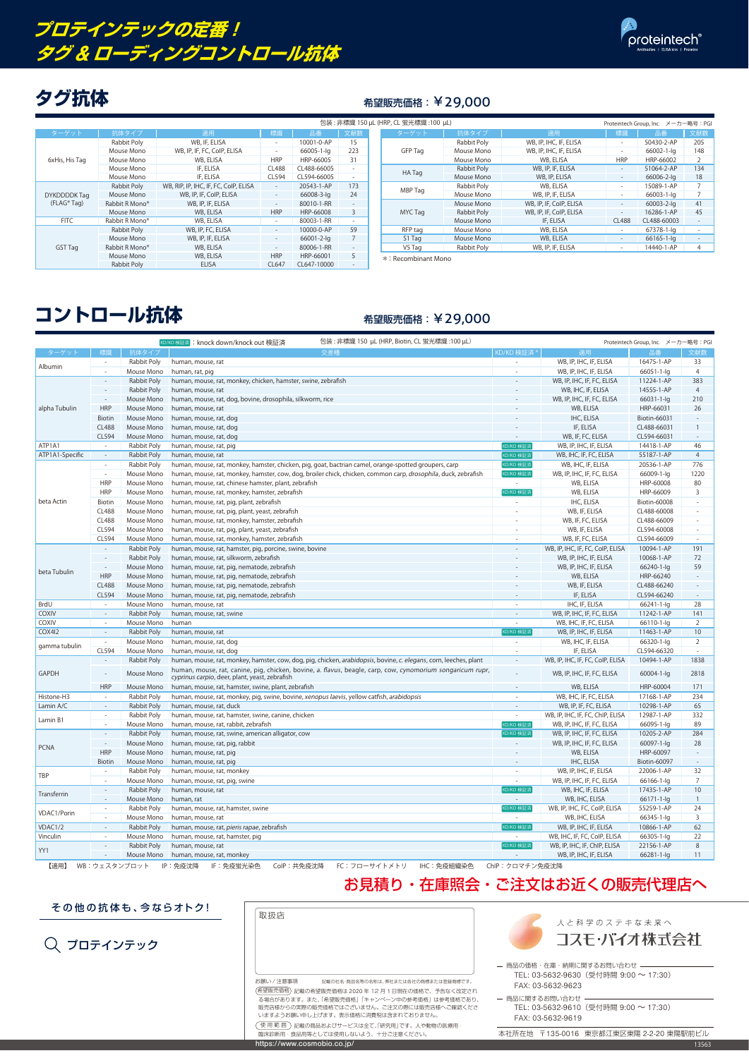|  |                                   |                |                                       |                          |             | 包装: 非標識 150 µL (HRP, CL  |             |
|--|-----------------------------------|----------------|---------------------------------------|--------------------------|-------------|--------------------------|-------------|
|  | ターゲット                             | 抗体タイプ          | 適用                                    | 標識                       | 品番          | 文献数                      |             |
|  |                                   | Rabbit Poly    | WB, IF, ELISA                         |                          | 10001-0-AP  | 15                       |             |
|  |                                   | Mouse Mono     | WB, IP, IF, FC, CoIP, ELISA           | $\overline{\phantom{a}}$ | 66005-1-lg  | 223                      |             |
|  | 6xHis, His Tag                    | Mouse Mono     | WB, ELISA                             | <b>HRP</b>               | HRP-66005   | 31                       |             |
|  |                                   | Mouse Mono     | IF, ELISA                             | <b>CL488</b>             | CL488-66005 |                          |             |
|  |                                   | Mouse Mono     | IF, ELISA                             | CL594                    | CL594-66005 | $\overline{\phantom{0}}$ |             |
|  |                                   | Rabbit Poly    | WB, RIP, IP, IHC, IF, FC, CoIP, ELISA |                          | 20543-1-AP  | 173                      |             |
|  | <b>DYKDDDDKTag</b><br>(FLAG® Tag) | Mouse Mono     | WB, IP, IF, CoIP, ELISA               | $\overline{\phantom{a}}$ | 66008-3-lg  | 24                       |             |
|  |                                   | Rabbit R Mono* | WB, IP, IF, ELISA                     |                          | 80010-1-RR  | $\overline{\phantom{a}}$ |             |
|  |                                   | Mouse Mono     | WB, ELISA                             | <b>HRP</b>               | HRP-66008   | 3                        |             |
|  | <b>FITC</b>                       | Rabbit R Mono* | WB, ELISA                             |                          | 80003-1-RR  |                          |             |
|  |                                   | Rabbit Poly    | WB, IP, FC, ELISA                     |                          | 10000-0-AP  | 59                       |             |
|  |                                   | Mouse Mono     | WB, IP, IF, ELISA                     |                          | 66001-2-lg  | 7                        |             |
|  | <b>GST Tag</b>                    | Rabbit R Mono* | WB, ELISA                             | $\overline{\phantom{a}}$ | 80006-1-RR  | $\overline{\phantom{a}}$ |             |
|  |                                   | Mouse Mono     | WB, ELISA                             | <b>HRP</b>               | HRP-66001   | 5                        | $\ast$ : Re |
|  |                                   | Rabbit Poly    | <b>ELISA</b>                          | CL647                    | CL647-10000 |                          |             |

| 包装 : 非標識 150 µL (HRP, CL 蛍光標識 :100 µL)<br>Proteintech Group, Inc. メーカー略号: PGI |     |  |         |             |                         |                          |                  |                |
|-------------------------------------------------------------------------------|-----|--|---------|-------------|-------------------------|--------------------------|------------------|----------------|
|                                                                               | 文献数 |  | ターゲット   | 抗体タイプ       | 適用                      | 標識                       | 品番               | 文献数            |
| )-AP                                                                          | 15  |  |         | Rabbit Poly | WB, IP, IHC, IF, ELISA  | $\qquad \qquad -$        | 50430-2-AP       | 205            |
| 1-lg                                                                          | 223 |  | GFP Tag | Mouse Mono  | WB, IP, IHC, IF, ELISA  |                          | 66002-1-lg       | 148            |
| 005                                                                           | 31  |  |         | Mouse Mono  | WB, ELISA               | <b>HRP</b>               | HRP-66002        | 2              |
| 6005                                                                          |     |  | HA Tag  | Rabbit Poly | WB, IP, IF, ELISA       |                          | 51064-2-AP       | 134            |
| 6005                                                                          |     |  |         | Mouse Mono  | WB, IP, ELISA           |                          | 66006-2-lg       | 18             |
| I-AP                                                                          | 173 |  | MBP Tag | Rabbit Poly | WB, ELISA               | $\overline{\phantom{a}}$ | 15089-1-AP       | 7              |
| 3-lg                                                                          | 24  |  |         | Mouse Mono  | WB, IP, IF, ELISA       | $\overline{\phantom{a}}$ | 66003-1-lg       | 7              |
| 1-RR                                                                          |     |  |         | Mouse Mono  | WB, IP, IF, CoIP, ELISA |                          | 60003-2-lg       | 41             |
| 008                                                                           | 3   |  | MYC Tag | Rabbit Poly | WB, IP, IF, CoIP, ELISA | $\overline{\phantom{a}}$ | 16286-1-AP       | 45             |
| 1-RR                                                                          |     |  |         | Mouse Mono  | IF, ELISA               | <b>CL488</b>             | CL488-60003      |                |
| A <sup>P</sup>                                                                | 59  |  | RFP tag | Mouse Mono  | WB, ELISA               |                          | 67378-1-lg       |                |
| $2-Iq$                                                                        |     |  | S1 Tag  | Mouse Mono  | WB, ELISA               |                          | $66165 - 1 - 1q$ |                |
| 1-RR                                                                          |     |  | V5 Tag  | Rabbit Poly | WB, IP, IF, ELISA       |                          | 14440-1-AP       | $\overline{4}$ |
| $\sim$ $\sim$ $\sim$                                                          |     |  |         |             |                         |                          |                  |                |



プロテインテック

### お見積り・在庫照会・ご注文はお近くの販売代理店へ

その他の抗体も、今ならオトク!

## **プロテインテックの定番! タグ** & **ローディングコントロール抗体**



### クグ抗体 **インストリック** 希望販売価格: ¥29,000

【適用】 WB:ウェスタンブロット IP:免疫沈降 IF:免疫蛍光染色 CoIP:共免疫沈降 FC:フローサイトメトリ IHC:免疫組織染色 ChIP:クロマチン免疫沈降

\*: Recombinant Mono

# **コントロール抗体** インファイン 希望販売価格: ¥29,000

|                                                                                                  |                          |             | 包装 : 非標識 150 µL (HRP, Biotin, CL 蛍光標識 :100 µL)<br>KD/KO 検証済 : knock down/knock out 検証済                                                                       |                                                                                               |                                  | Proteintech Group, Inc. メーカー略号: PGI |                          |
|--------------------------------------------------------------------------------------------------|--------------------------|-------------|--------------------------------------------------------------------------------------------------------------------------------------------------------------|-----------------------------------------------------------------------------------------------|----------------------------------|-------------------------------------|--------------------------|
| ターゲット                                                                                            | 標譜                       | 抗体タイプ       | 交差種                                                                                                                                                          | KD/KO 検証済 *                                                                                   | 適用                               | 品番                                  | 文献数                      |
| Albumin                                                                                          |                          | Rabbit Poly | human, mouse, rat                                                                                                                                            |                                                                                               | WB, IP, IHC, IF, ELISA           | 16475-1-AP                          | 33                       |
|                                                                                                  |                          | Mouse Mono  | human, rat, pig                                                                                                                                              | $\overline{a}$                                                                                | WB, IP, IHC, IF, ELISA           | 66051-1-lg                          | $\overline{4}$           |
|                                                                                                  | $\sim$                   | Rabbit Poly | human, mouse, rat, monkey, chicken, hamster, swine, zebrafish                                                                                                |                                                                                               | WB, IP, IHC, IF, FC, ELISA       | 11224-1-AP                          | 383                      |
|                                                                                                  |                          | Rabbit Poly | human, mouse, rat                                                                                                                                            |                                                                                               | WB, IHC, IF, ELISA               | 14555-1-AP                          | $\overline{4}$           |
|                                                                                                  |                          | Mouse Mono  | human, mouse, rat, dog, bovine, drosophila, silkworm, rice                                                                                                   |                                                                                               | WB, IP, IHC, IF, FC, ELISA       | 66031-1-lg                          | 210                      |
| alpha Tubulin                                                                                    | <b>HRP</b>               | Mouse Mono  | human, mouse, rat                                                                                                                                            |                                                                                               | WB, ELISA                        | HRP-66031                           | 26                       |
|                                                                                                  | <b>Biotin</b>            | Mouse Mono  | human, mouse, rat, dog                                                                                                                                       |                                                                                               | IHC, ELISA                       | Biotin-66031                        |                          |
|                                                                                                  | <b>CL488</b>             | Mouse Mono  | human, mouse, rat, dog                                                                                                                                       |                                                                                               | IF, ELISA                        | CL488-66031                         |                          |
|                                                                                                  | CL594                    | Mouse Mono  | human, mouse, rat, dog                                                                                                                                       |                                                                                               | WB, IF, FC, ELISA                | CL594-66031                         |                          |
| ATP1A1                                                                                           |                          | Rabbit Poly | human, mouse, rat, pig                                                                                                                                       | KD/KO 検証済                                                                                     | WB, IP, IHC, IF, ELISA           | 14418-1-AP                          | 46                       |
| ATP1A1-Specific                                                                                  | $\sim$                   | Rabbit Poly | human, mouse, rat                                                                                                                                            | KD/KO 検証済                                                                                     | WB, IHC, IF, FC, ELISA           | 55187-1-AP                          | $\overline{4}$           |
|                                                                                                  | $\sim$                   | Rabbit Poly | human, mouse, rat, monkey, hamster, chicken, pig, goat, bactrian camel, orange-spotted groupers, carp                                                        | KD/KO 検証済                                                                                     | WB, IHC, IF, ELISA               | 20536-1-AP                          | 776                      |
|                                                                                                  | $\sim$                   | Mouse Mono  | human, mouse, rat, monkey, hamster, cow, dog, broiler chick, chicken, common carp, drosophila, duck, zebrafish                                               | KD/KO 検証済                                                                                     | WB, IP, IHC, IF, FC, ELISA       | 66009-1-lg                          | 1220                     |
|                                                                                                  | <b>HRP</b>               | Mouse Mono  | human, mouse, rat, chinese hamster, plant, zebrafish                                                                                                         | $\sim$                                                                                        | WB, ELISA                        | HRP-60008                           | 80                       |
|                                                                                                  | <b>HRP</b>               | Mouse Mono  | human, mouse, rat, monkey, hamster, zebrafish                                                                                                                | KD/KO 検証済                                                                                     | WB, ELISA                        | HRP-66009                           | 3                        |
| beta Actin                                                                                       | Biotin                   | Mouse Mono  | human, mouse, rat, pig, plant, zebrafish                                                                                                                     | $\overline{\phantom{a}}$                                                                      | IHC, ELISA                       | <b>Biotin-60008</b>                 | $\overline{\phantom{a}}$ |
|                                                                                                  | <b>CL488</b>             | Mouse Mono  | human, mouse, rat, pig, plant, yeast, zebrafish                                                                                                              | ÷                                                                                             | WB, IF, ELISA                    | CL488-60008                         |                          |
|                                                                                                  | <b>CL488</b>             | Mouse Mono  | human, mouse, rat, monkey, hamster, zebrafish                                                                                                                | $\overline{\phantom{a}}$                                                                      | WB, IF, FC, ELISA                | CL488-66009                         |                          |
|                                                                                                  | CL594                    | Mouse Mono  | human, mouse, rat, pig, plant, yeast, zebrafish                                                                                                              | $\overline{\phantom{0}}$                                                                      | WB, IF, ELISA                    | CL594-60008                         |                          |
|                                                                                                  | CL594                    | Mouse Mono  | human, mouse, rat, monkey, hamster, zebrafish                                                                                                                | $\overline{a}$                                                                                | WB, IF, FC, ELISA                | CL594-66009                         |                          |
|                                                                                                  |                          | Rabbit Poly | human, mouse, rat, hamster, pig, porcine, swine, bovine                                                                                                      |                                                                                               | WB, IP, IHC, IF, FC, CoIP, ELISA | 10094-1-AP                          | 191                      |
|                                                                                                  |                          | Rabbit Poly | human, mouse, rat, silkworm, zebrafish                                                                                                                       |                                                                                               | WB, IP, IHC, IF, ELISA           | 10068-1-AP                          | 72                       |
| beta Tubulin                                                                                     |                          | Mouse Mono  | human, mouse, rat, pig, nematode, zebrafish                                                                                                                  |                                                                                               | WB, IP, IHC, IF, ELISA           | 66240-1-lg                          | 59                       |
|                                                                                                  | <b>HRP</b>               | Mouse Mono  | human, mouse, rat, pig, nematode, zebrafish                                                                                                                  |                                                                                               | WB, ELISA                        | HRP-66240                           |                          |
|                                                                                                  | <b>CL488</b>             | Mouse Mono  | human, mouse, rat, pig, nematode, zebrafish                                                                                                                  |                                                                                               | WB, IF, ELISA                    | CL488-66240                         |                          |
|                                                                                                  | CL594                    | Mouse Mono  | human, mouse, rat, pig, nematode, zebrafish                                                                                                                  |                                                                                               | IF, ELISA                        | CL594-66240                         |                          |
| BrdU                                                                                             | $\overline{\phantom{a}}$ | Mouse Mono  | human, mouse, rat                                                                                                                                            | $\sim$                                                                                        | IHC, IF, ELISA                   | 66241-1-lg                          | 28                       |
| <b>COXIV</b>                                                                                     | $\overline{\phantom{a}}$ | Rabbit Poly | human, mouse, rat, swine                                                                                                                                     | $\overline{\phantom{a}}$                                                                      | WB, IP, IHC, IF, FC, ELISA       | 11242-1-AP                          | 141                      |
| <b>COXIV</b>                                                                                     | $\sim$                   | Mouse Mono  | human                                                                                                                                                        | $\overline{\phantom{a}}$                                                                      | WB, IHC, IF, FC, ELISA           | 66110-1-lg                          | 2                        |
| COX4I2                                                                                           | $\overline{\phantom{a}}$ | Rabbit Poly | human, mouse, rat                                                                                                                                            | KD/KO 検証                                                                                      | WB, IP, IHC, IF, ELISA           | 11463-1-AP                          | 10                       |
| gamma tubulin                                                                                    |                          | Mouse Mono  | human, mouse, rat, dog                                                                                                                                       | $\overline{\phantom{a}}$                                                                      | WB, IHC, IF, ELISA               | 66320-1-lg                          | 2                        |
|                                                                                                  | CL594                    | Mouse Mono  | human, mouse, rat, dog                                                                                                                                       | $\overline{\phantom{a}}$                                                                      | IF, ELISA                        | CL594-66320                         |                          |
|                                                                                                  |                          | Rabbit Poly | human, mouse, rat, monkey, hamster, cow, dog, pig, chicken, arabidopsis, bovine, c. elegans, corn, leeches, plant                                            | $\overline{\phantom{a}}$                                                                      | WB, IP, IHC, IF, FC, CoIP, ELISA | 10494-1-AP                          | 1838                     |
| <b>GAPDH</b>                                                                                     |                          | Mouse Mono  | human, mouse, rat, canine, pig, chicken, bovine, a. flavus, beagle, carp, cow, cynomorium songaricum rupr,<br>cyprinus carpio, deer, plant, yeast, zebrafish |                                                                                               | WB, IP, IHC, IF, FC, ELISA       | 60004-1-lg                          | 2818                     |
|                                                                                                  | <b>HRP</b>               | Mouse Mono  | human, mouse, rat, hamster, swine, plant, zebrafish                                                                                                          |                                                                                               | WB, ELISA                        | HRP-60004                           | 171                      |
| Histone-H3                                                                                       |                          | Rabbit Poly | human, mouse, rat, monkey, pig, swine, bovine, xenopus laevis, yellow catfish, arabidopsis                                                                   |                                                                                               | WB, IHC, IF, FC, ELISA           | 17168-1-AP                          | 234                      |
| Lamin A/C                                                                                        | $\sim$                   | Rabbit Poly | human, mouse, rat, duck                                                                                                                                      |                                                                                               | WB, IP, IF, FC, ELISA            | 10298-1-AP                          | 65                       |
| Lamin B1                                                                                         | $\overline{\phantom{a}}$ | Rabbit Poly | human, mouse, rat, hamster, swine, canine, chicken                                                                                                           | $\sim$                                                                                        | WB, IP, IHC, IF, FC, ChIP, ELISA | 12987-1-AP                          | 332                      |
|                                                                                                  | $\sim$                   | Mouse Mono  | human, mouse, rat, rabbit, zebrafish                                                                                                                         | KD/KO 検証済                                                                                     | WB, IP, IHC, IF, FC, ELISA       | 66095-1-lg                          | 89                       |
|                                                                                                  |                          | Rabbit Poly | human, mouse, rat, swine, american alligator, cow                                                                                                            | <d ko="" td="" 検証済<=""><td>WB, IP, IHC, IF, FC, ELISA</td><td>10205-2-AP</td><td>284</td></d> | WB, IP, IHC, IF, FC, ELISA       | 10205-2-AP                          | 284                      |
| <b>PCNA</b>                                                                                      | $\sim$                   | Mouse Mono  | human, mouse, rat, pig, rabbit                                                                                                                               |                                                                                               | WB, IP, IHC, IF, FC, ELISA       | 60097-1-lg                          | 28                       |
|                                                                                                  | <b>HRP</b>               | Mouse Mono  | human, mouse, rat, pig                                                                                                                                       |                                                                                               | WB, ELISA                        | HRP-60097                           |                          |
|                                                                                                  | <b>Biotin</b>            | Mouse Mono  | human, mouse, rat, pig                                                                                                                                       |                                                                                               | IHC, ELISA                       | <b>Biotin-60097</b>                 |                          |
| TBP                                                                                              |                          | Rabbit Poly | human, mouse, rat, monkey                                                                                                                                    |                                                                                               | WB, IP, IHC, IF, ELISA           | 22006-1-AP                          | 32                       |
|                                                                                                  |                          | Mouse Mono  | human, mouse, rat, pig, swine                                                                                                                                | $\overline{\phantom{a}}$                                                                      | WB, IP, IHC, IF, FC, ELISA       | 66166-1-lg                          | 7                        |
| Transferrin                                                                                      |                          | Rabbit Poly | human, mouse, rat                                                                                                                                            | KD/KO 検証済                                                                                     | WB, IHC, IF, ELISA               | 17435-1-AP                          | 10                       |
|                                                                                                  |                          | Mouse Mono  | human, rat                                                                                                                                                   |                                                                                               | WB, IHC, ELISA                   | 66171-1-lg                          | -1                       |
| VDAC1/Porin                                                                                      |                          | Rabbit Poly | human, mouse, rat, hamster, swine                                                                                                                            | KD/KO 検証済                                                                                     | WB, IP, IHC, FC, CoIP, ELISA     | 55259-1-AP                          | 24                       |
|                                                                                                  | $\sim$                   | Mouse Mono  | human, mouse, rat                                                                                                                                            | $\sim$                                                                                        | WB, IHC, ELISA                   | 66345-1-lg                          | 3                        |
| VDAC1/2<br>Rabbit Poly<br>human, mouse, rat, pieris rapae, zebrafish<br>$\overline{\phantom{a}}$ |                          |             | KD/KO 検証済                                                                                                                                                    | WB, IP, IHC, IF, ELISA                                                                        | 10866-1-AP                       | 62                                  |                          |
| Vinculin                                                                                         | $\overline{\phantom{a}}$ | Mouse Mono  | human, mouse, rat, hamster, pig                                                                                                                              | $\sim$                                                                                        | WB, IHC, IF, FC, CoIP, ELISA     | 66305-1-lg                          | 22                       |
|                                                                                                  |                          | Rabbit Poly | human, mouse, rat                                                                                                                                            | KD/KO 検証済                                                                                     | WB, IP, IHC, IF, ChIP, ELISA     | 22156-1-AP                          | 8                        |
| YY1                                                                                              |                          | Mouse Mono  | human, mouse, rat, monkey                                                                                                                                    | $\overline{\phantom{a}}$                                                                      | WB, IP, IHC, IF, ELISA           | 66281-1-lg                          | 11                       |